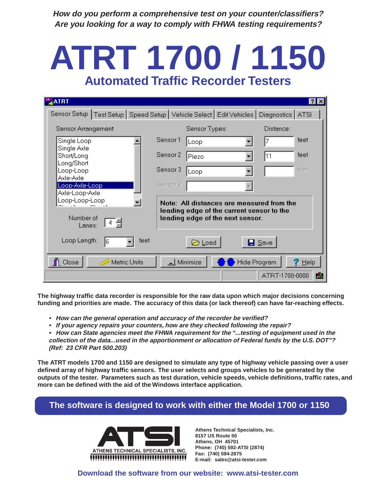**How do you perform a comprehensive test on your counter/classifiers? Are you looking for a way to comply with FHWA testing requirements?**

# **ATRT 1700 / 1150 Automated Traffic Recorder Testers**

| <b>ATRT</b>                                                                  | $?$ $\times$                                                                                                               |  |  |  |  |
|------------------------------------------------------------------------------|----------------------------------------------------------------------------------------------------------------------------|--|--|--|--|
|                                                                              | Sensor Setup   Test Setup   Speed Setup   Vehicle Select   Edit Vehicles   Diagnostics   ATSI                              |  |  |  |  |
| Sensor Arrangement:                                                          | Sensor Types:<br>Distance:                                                                                                 |  |  |  |  |
| Single Loop                                                                  | Sensor1<br>feet<br>Loop                                                                                                    |  |  |  |  |
| Single Axle<br>Short/Long                                                    | Sensor 2<br>feet<br>11<br>Piezo                                                                                            |  |  |  |  |
| Long/Short<br>Loop-Loop                                                      | feet<br>Sensor 3<br>Loop                                                                                                   |  |  |  |  |
| Axle-Axle<br>Loop-Axle-Loop<br>Axle-Loop-Axle                                | Sensor 4                                                                                                                   |  |  |  |  |
| Loop-Loop-Loop<br>Number of<br>  4 륌<br>Lanes:                               | Note: All distances are measured from the<br>leading edge of the current sensor to the<br>leading edge of the next sensor. |  |  |  |  |
| Loop Length:<br>feet<br>16                                                   | <b>B</b> Load<br>$\blacksquare$ Save                                                                                       |  |  |  |  |
| Minimize<br>Metric Units<br>Hide Program<br>$\bar{\mathbf{I}}$ Close<br>Help |                                                                                                                            |  |  |  |  |
|                                                                              | 盧<br>ATRT-1700-0000                                                                                                        |  |  |  |  |

**The highway traffic data recorder is responsible for the raw data upon which major decisions concerning funding and priorities are made. The accuracy of this data (or lack thereof) can have far-reaching effects.**

- **How can the general operation and accuracy of the recorder be verified?**
- **If your agency repairs your counters, how are they checked following the repair?**
- **How can State agencies meet the FHWA requirement for the "...testing of equipment used in the collection of the data...used in the apportionment or allocation of Federal funds by the U.S. DOT"? (Ref: 23 CFR Part 500.203)**

**The ATRT models 1700 and 1150 are designed to simulate any type of highway vehicle passing over a user defined array of highway traffic sensors. The user selects and groups vehicles to be generated by the outputs of the tester. Parameters such as test duration, vehicle speeds, vehicle definitions, traffic rates, and more can be defined with the aid of the Windows interface application.**

## **The software is designed to work with either the Model 1700 or 1150**



**Athens Technical Specialists, Inc. 8157 US Route 50 Athens, OH 45701 Phone: (740) 592-ATSI (2874) Fax: (740) 594-2875 E-mail: sales@atsi-tester.com**

#### **Download the software from our website: www.atsi-tester.com**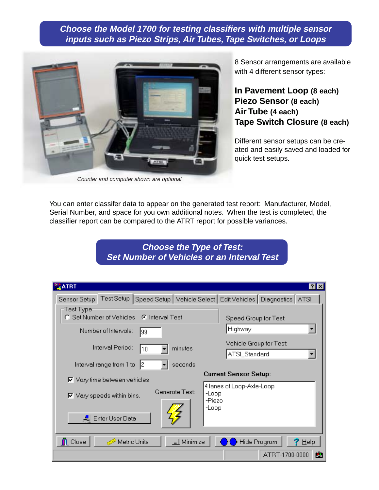**Choose the Model 1700 for testing classifiers with multiple sensor inputs such as Piezo Strips, Air Tubes, Tape Switches, or Loops**



Counter and computer shown are optional

8 Sensor arrangements are available with 4 different sensor types:

### **In Pavement Loop (8 each) Piezo Sensor (8 each) Air Tube (4 each) Tape Switch Closure (8 each)**

Different sensor setups can be created and easily saved and loaded for quick test setups.

You can enter classifer data to appear on the generated test report: Manufacturer, Model, Serial Number, and space for you own additional notes. When the test is completed, the classifier report can be compared to the ATRT report for possible variances.

### **Choose the Type of Test: Set Number of Vehicles or an Interval Test**

| <b>ATRT</b>                                                                                    | ?  ×                                                  |
|------------------------------------------------------------------------------------------------|-------------------------------------------------------|
| Test Setup   Speed Setup   Vehicle Select   Edit Vehicles   Diagnostics   ATSI<br>Sensor Setup |                                                       |
| Test Type <sup>.</sup><br>C Set Number of Vehicles C Interval Test                             | Speed Group for Test:                                 |
| Number of Intervals:<br>99                                                                     | Highway                                               |
| Interval Period:<br>minutes<br>10                                                              | Vehicle Group for Test:<br>ATSI_Standard              |
| Interval range from 1 to<br>seconds                                                            |                                                       |
| $\nabla$ Vary time between vehicles                                                            | <b>Current Sensor Setup:</b>                          |
| Generate Test:<br>$\nabla$ Vary speeds within bins.                                            | 4 lanes of Loop-Axle-Loop<br>-Loop<br>-Piezo<br>-Loop |
| <b>로</b> Enter User Data                                                                       |                                                       |
| $\perp$ Minimize<br>Metric Units<br>$\bar{\mathbb{L}}$ Close                                   | Hide Program<br>Help                                  |
|                                                                                                | ATRT-1700-0000<br>盧                                   |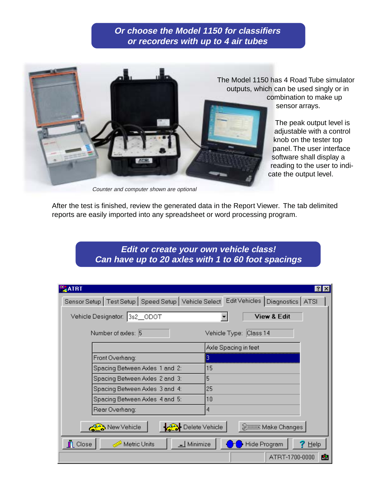#### **Or choose the Model 1150 for classifiers or recorders with up to 4 air tubes**



The Model 1150 has 4 Road Tube simulator outputs, which can be used singly or in combination to make up sensor arrays.

> The peak output level is adjustable with a control knob on the tester top panel. The user interface software shall display a reading to the user to indicate the output level.

Counter and computer shown are optional

After the test is finished, review the generated data in the Report Viewer. The tab delimited reports are easily imported into any spreadsheet or word processing program.

> **Edit or create your own vehicle class! Can have up to 20 axles with 1 to 60 foot spacings**

| <b>BATRT</b>                                                                                  | $\vert$ ? $\vert$<br>Ιx |  |  |  |
|-----------------------------------------------------------------------------------------------|-------------------------|--|--|--|
| Sensor Setup   Test Setup   Speed Setup   Vehicle Select   Edit Vehicles   Diagnostics   ATSI |                         |  |  |  |
| Vehicle Designator: 3s2_ODOT                                                                  | <b>View &amp; Edit</b>  |  |  |  |
| Number of exles: 5                                                                            | Vehicle Type: Class 14  |  |  |  |
|                                                                                               | Axle Spacing in feet    |  |  |  |
| Front Overhang:                                                                               | 13                      |  |  |  |
| Spacing Between Axles 1 and 2:                                                                | 15                      |  |  |  |
| Spacing Between Axles 2 and 3:                                                                | 5                       |  |  |  |
| Spacing Between Axles 3 and 4:                                                                | 25                      |  |  |  |
| Spacing Between Axles 4 and 5:                                                                | 10                      |  |  |  |
| Rear Overhang:                                                                                | 4                       |  |  |  |
| ▶ Delete Vehicle<br>New Vehicle<br>Make Changes                                               |                         |  |  |  |
| <b>n</b> Close<br>Minimize<br>Metric Units                                                    | Hide Program<br>Help    |  |  |  |
|                                                                                               | 盧<br>ATRT-1700-0000     |  |  |  |